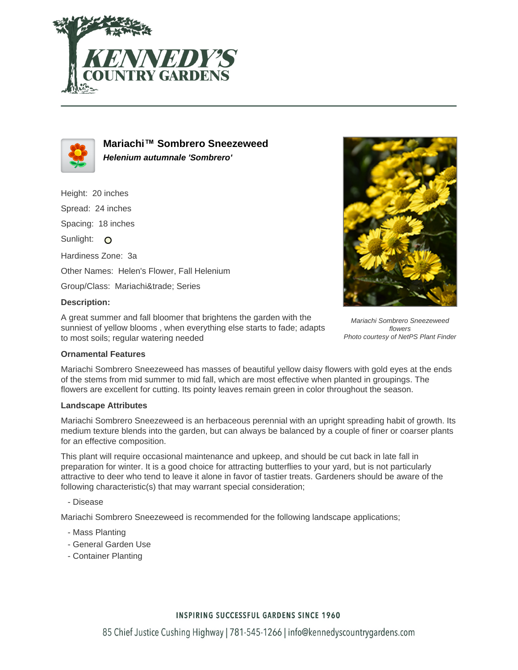



**Mariachi™ Sombrero Sneezeweed Helenium autumnale 'Sombrero'**

Height: 20 inches Spread: 24 inches Spacing: 18 inches Sunlight: O Hardiness Zone: 3a Other Names: Helen's Flower, Fall Helenium Group/Class: Mariachi™ Series

## **Description:**

A great summer and fall bloomer that brightens the garden with the sunniest of yellow blooms , when everything else starts to fade; adapts to most soils; regular watering needed



Mariachi Sombrero Sneezeweed flowers Photo courtesy of NetPS Plant Finder

# **Ornamental Features**

Mariachi Sombrero Sneezeweed has masses of beautiful yellow daisy flowers with gold eyes at the ends of the stems from mid summer to mid fall, which are most effective when planted in groupings. The flowers are excellent for cutting. Its pointy leaves remain green in color throughout the season.

#### **Landscape Attributes**

Mariachi Sombrero Sneezeweed is an herbaceous perennial with an upright spreading habit of growth. Its medium texture blends into the garden, but can always be balanced by a couple of finer or coarser plants for an effective composition.

This plant will require occasional maintenance and upkeep, and should be cut back in late fall in preparation for winter. It is a good choice for attracting butterflies to your yard, but is not particularly attractive to deer who tend to leave it alone in favor of tastier treats. Gardeners should be aware of the following characteristic(s) that may warrant special consideration;

- Disease

Mariachi Sombrero Sneezeweed is recommended for the following landscape applications;

- Mass Planting
- General Garden Use
- Container Planting

#### **INSPIRING SUCCESSFUL GARDENS SINCE 1960**

85 Chief Justice Cushing Highway | 781-545-1266 | info@kennedyscountrygardens.com